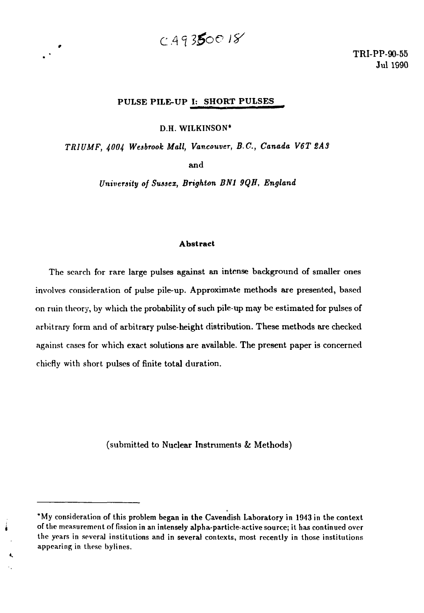*CAI 3600 1?*

 $\ddot{\phantom{a}}$ 

TRI-PP-90-55 Jul 1990

## PULSE PILE-UP I: SHORT PULSES

D.H. WILKINSON\*

*TRIUMF, 4004 Wesbrook Mall, Vancouver, B.C., Canada V6T 2AS*

and

*University of Sussex, Brighton BN1 9QH, England*

### **Abstract**

The search for rare large pulses against an intense background of smaller ones involves consideration of pulse pile-up. Approximate methods are presented, based on ruin theory, by which the probability of such pile-up may be estimated for pulses of arbitrary form and of arbitrary pulse-height distribution. These methods are checked against cases for which exact solutions are available. The present paper is concerned chiefly with short pulses of finite total duration.

(submitted to Nuclear Instruments & Methods)

<sup>\*</sup>My consideration of this problem began in the Cavendish Laboratory in 1943 in the context of the measurement of fission in an intensely alpha-particle-active source; it has continued over the years in several institutions and in several contexts, most recently in those institutions appearing in these bylines.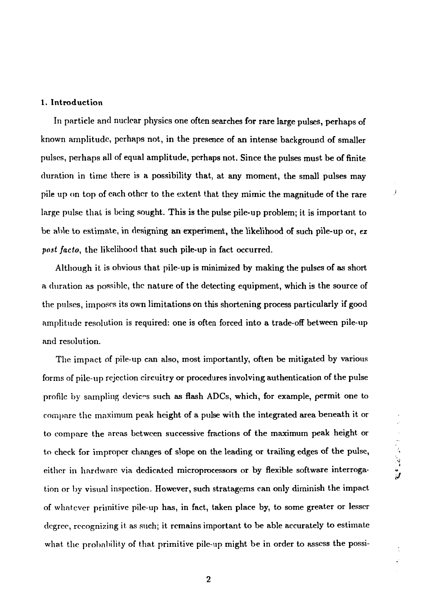## 1. Introduction

In particle and nuclear physics one often searches for rare large pulses, perhaps of known amplitude, perhaps not, in the presence of an intense background of smaller pulses, perhaps all of equal amplitude, perhaps not. Since the pulses must be of finite duration in time there is a possibility that, at any moment, the small pulses may pile up on top of each other to the extent that they mimic the magnitude of the rare  $\mathbb{R}^3$ large pulse that is being sought. This is the pulse pile-up problem; it is important to be able to estimate, in designing an experiment, the likelihood of such pile-up or, *ex post facto,* the likelihood that such pile-up in fact occurred.

Although it is obvious that pile-up is minimized by making the pulses of as short a duration as possible, the nature of the detecting equipment, which is the source of the pulses, imposes its own limitations on this shortening process particularly if good amplitude resolution is required: one is often forced into a trade-off between pile-up and resolution.

The impact of pile-up can also, most importantly, often be mitigated by various forms of pile-up rejection circuitry or procedures involving authentication of the pulse profile by sampling devices such as flash ADCs, which, for example, permit one to compare the mnximum peak height of a pulse with the integrated area beneath it or to compare the areas between successive fractions of the maximum peak height or to check for improper changes of slope on the leading or trailing edges of the pulse, either in hardware via dedicated microprocessors or by flexible software interroga-<sup>3</sup> at the interval dedicated microprocessors or by flexible software interroga-<sup>3</sup> tion or by visual inspection. However, such stratagems can only diminish the impact of whatever primitive pile-up has, in fact, taken place by, to some greater or lesser degree, recognizing it as such; it remains important to be able accurately to estimate what the probability of that primitive pile-up might be in order to assess the possi-

l.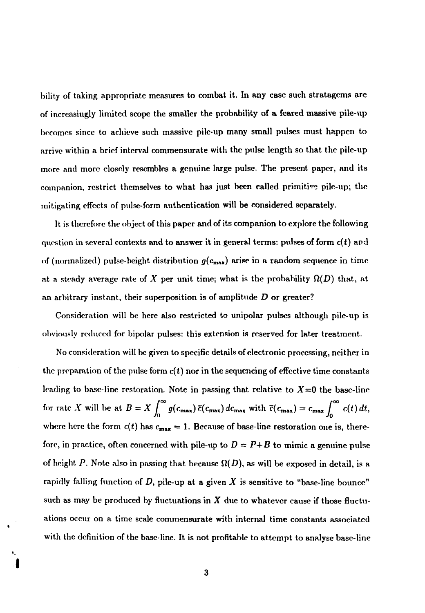bility of taking appropriate measures to combat it. In any case such stratagems are of increasingly limited scope the smaller the probability of a feared massive pile-up becomes since to achieve such massive pile-up many small pulses must happen to arrive within a brief interval commensurate with the pulse length so that the pile-up more and more closely resembles a genuine large pulse. The present paper, and its companion, restrict themselves to what has just been called primitive pile-up; the mitigating effects of pulse-form authentication will be considered separately.

It is therefore the object of this paper and of its companion to explore the following question in several contexts and to answer it in general terms: pulses of form *c(t)* and of (normalized) pulse-height distribution  $g(c_{\text{max}})$  arise in a random sequence in time at a steady average rate of X per unit time; what is the probability  $\Omega(D)$  that, at an arbitrary instant, their superposition is of amplitude *D* or greater?

Consideration will be here also restricted to unipolar pulses although pile-up is obviously reduced for bipolar pulses: this extension is reserved for later treatment.

No consideration will be given to specific details of electronic processing, neither in the preparation of the pulse form  $c(t)$  nor in the sequencing of effective time constants leading to base-line restoration. Note in passing that relative to  $X=0$  the base-line for rate X will be at  $B = X \int_{0}^{\infty} g(c_{\text{max}}) \, \bar{c}(c_{\text{max}}) \, dx_{\text{max}}$  with  $\bar{c}(c_{\text{max}}) = c_{\text{max}} \int_{0}^{\infty} c(t) \, dt$ , **Jo Jo** where here the form  $c(t)$  has  $c_{\text{max}} = 1$ . Because of base-line restoration one is, there-<br>fore, in practice, often concerned with pile-up to  $D = P + B$  to mimic a genuine pulse fore, in practice, often concerned with pile-up to *D* = *P+B* to mimic a genuine pulse of height *P.* Note also in passing that because *Q(D),* as will be exposed in detail, is a rapidly falling function of *D,* pile-up at a given *X* is sensitive to "base-line bounce" such as may be produced by fluctuations in  $X$  due to whatever cause if those fluctusuch as may be produced by fluctuations in *X* due to whatever cause if those fluctuations occur on a time scale commensurate with internal time constants associated with the definition of the base-line. It is not profitable to attempt to analyse base-line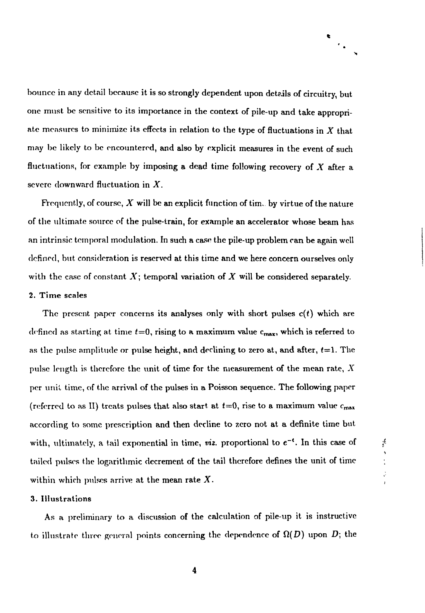bounce in any detail because it is so strongly dependent upon details of circuitry, but one must be sensitive to its importance in the context of pile-up and take appropriate measures to minimize its effects in relation to the type of fluctuations in *X* that may be likely to be encountered, and also by explicit measures in the event of such fluctuations, for example by imposing a dead time following recovery of *X* after a severe downward fluctuation in *X.*

Frequently, of course, *X* will be an explicit function of tim. by virtue of the nature of the ultimate source of the pulse-train, for example an accelerator whose beam has an intrinsic temporal modulation. In such a case the pile-up problem can be again well defined, but consideration is reserved at this time and we here concern ourselves only with the case of constant  $X$ ; temporal variation of  $X$  will be considered separately.

#### 2. Time scales

The present paper concerns its analyses only with short pulses *c(t)* which are defined as starting at time  $t=0$ , rising to a maximum value  $c_{\text{max}}$ , which is referred to as the pulse amplitude or pulse height, and declining to zero at, and after,  $t=1$ . The pulse length is therefore the unit of time for the measurement of the mean rate, *X* per unit time, of the arrival of the pulses in a Poisson sequence. The following paper (referred to as II) treats pulses that also start at  $t = 0$ , rise to a maximum value  $c_{\text{max}}$ according to some prescription and then decline to zero not at a definite time but with, ultimately, a tail exponential in time, *viz.* proportional to  $e^{-t}$ . In this case of tailed pulses the logarithmic decrement of the tail therefore defines the unit of time within which pulses arrive at the mean rate *X.*

 $\frac{1}{2}$ 

 $\ddot{\cdot}$  $\frac{1}{\sqrt{2}}$ 

#### 3. Illustrations

As a preliminary to a discussion of the calculation of pile-up it is instructive to illustrate three general points concerning the dependence of  $\Omega(D)$  upon  $D$ ; the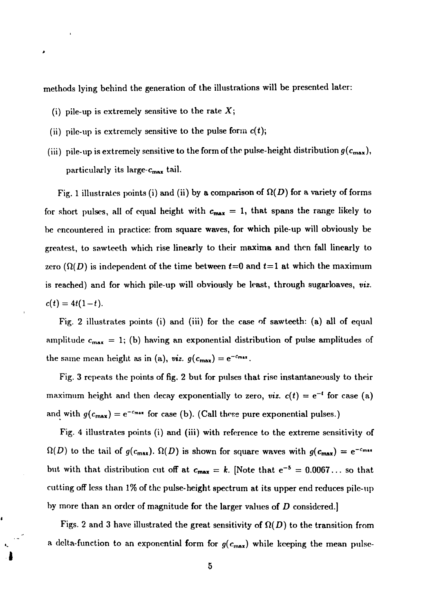methods lying behind the generation of the illustrations will be presented later:

- (i) pile-up is extremely sensitive to the rate *X;*
- (ii) pile-up is extremely sensitive to the pulse form  $c(t)$ ;
- (iii) pile-up is extremely sensitive to the form of the pulse-height distribution  $g(c_{\text{max}})$ , particularly its large- $c_{\text{max}}$  tail.

Fig. 1 illustrates points (i) and (ii) by a comparison of  $\Omega(D)$  for a variety of forms for short pulses, all of equal height with  $c_{\text{max}} = 1$ , that spans the range likely to be encountered in practice: from square waves, for which pile-up will obviously be greatest, to sawteeth which rise linearly to their maxima and then fall linearly to zero ( $\Omega(D)$ ) is independent of the time between  $t=0$  and  $t=1$  at which the maximum is reached) and for which pile-up will obviously be least, through sugarloaves, *viz.*  $c(t) = 4t(1-t).$ 

Fig. 2 illustrates points (i) and (iii) for the case of sawteeth: (a) all of equal amplitude  $c_{\text{max}} = 1$ ; (b) having an exponential distribution of pulse amplitudes of the same mean height as in (a), *viz.*  $g(c_{\text{max}}) = e^{-c_{\text{max}}}$ .

Fig. 3 repeats the points of fig. 2 but for pulses that rise instantaneously to their maximum height and then decay exponentially to zero,  $viz. c(t) = e^{-t}$  for case (a) and with  $g(c_{\text{max}}) = e^{-c_{\text{max}}}$  for case (b). (Call these pure exponential pulses.)

Fig. 4 illustrates points (i) and (iii) with reference to the extreme sensitivity of  $\Omega(D)$  to the tail of  $g(c_{\text{max}})$ .  $\Omega(D)$  is shown for square waves with  $g(c_{\text{max}}) = e^{-c_{\text{max}}}$ but with that distribution cut off at  $c_{\text{max}} = k$ . [Note that  $e^{-5} = 0.0067...$  so that cutting off less than 1% of the pulse-height spectrum at its upper end reduces pile-tip by more than an order of magnitude for the larger values of *D* considered.]

Figs. 2 and 3 have illustrated the great sensitivity of  $\Omega(D)$  to the transition from a delta-function to an exponential form for *g(cmax)* while keeping the mean pulsc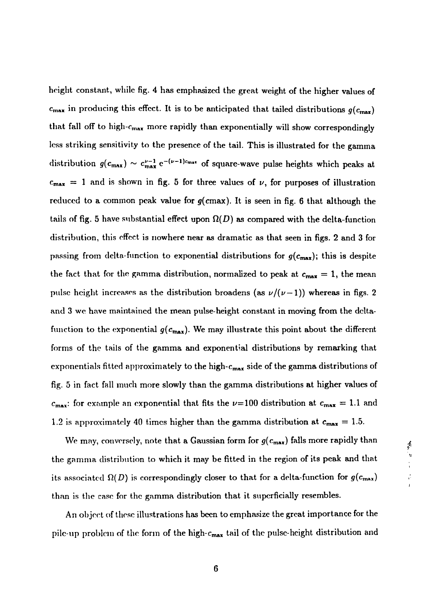height constant, while fig. 4 has emphasized the great weight of the higher values of  $c_{\text{max}}$  in producing this effect. It is to be anticipated that tailed distributions  $g(c_{\text{max}})$ that fall off to high-cmax more rapidly than exponentially will show correspondingly less striking sensitivity to the presence of the tail. This is illustrated for the gamma distribution  $g(c_{\text{max}}) \sim c_{\text{max}}^{\nu-1} e^{-(\nu-1)c_{\text{max}}}$  of square-wave pulse heights which peaks at  $c_{\text{max}} = 1$  and is shown in fig. 5 for three values of  $\nu$ , for purposes of illustration reduced to a common peak value for  $g$ (cmax). It is seen in fig. 6 that although the tails of fig. 5 have substantial effect upon  $\Omega(D)$  as compared with the delta-function distribution, this effect is nowhere near as dramatic as that seen in figs. 2 and 3 for passing from delta-function to exponential distributions for  $g(c_{\text{max}})$ ; this is despite the fact that for the gamma distribution, normalized to peak at  $c_{\text{max}} = 1$ , the mean pulse height increases as the distribution broadens (as  $\nu/(\nu-1)$ ) whereas in figs. 2 and 3 we have maintained the mean pulse-height constant in moving from the deltafunction to the exponential  $g(c_{\text{max}})$ . We may illustrate this point about the different forms of the tails of the gamma and exponential distributions by remarking that exponentials fitted approximately to the high- $c_{\text{max}}$  side of the gamma distributions of fig. 5 in fact fall much more slowly than the gamma distributions at higher values of  $c_{\text{max}}$ : for example an exponential that fits the  $\nu$ =100 distribution at  $c_{\text{max}} = 1.1$  and 1.2 is approximately 40 times higher than the gamma distribution at  $c_{\text{max}} = 1.5$ .

We may, conversely, note that a Gaussian form for  $g(c_{\text{max}})$  falls more rapidly than the gamma distribution to which it may be fitted in the region of its peak and that its associated  $\Omega(D)$  is correspondingly closer to that for a delta-function for  $g(c_{\text{max}})$ than is the case for the gamma distribution that it superficially resembles.

(4)<br>「1」 「1」

 $\frac{1}{\sqrt{2}}$ 

An object of these illustrations has been to emphasize the great importance for the pile-up problem of the form of the high-cmax tail of the pulse-height distribution and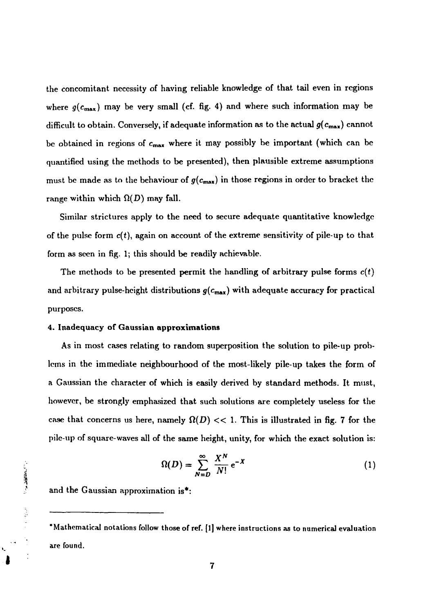the concomitant necessity of having reliable knowledge of that tail even in regions where  $g(c_{\text{max}})$  may be very small (cf. fig. 4) and where such information may be difficult to obtain. Conversely, if adequate information as to the actual  $g(c_{\text{max}})$  cannot be obtained in regions of  $c_{\text{max}}$  where it may possibly be important (which can be quantified using the methods to be presented), then plausible extreme assumptions must be made as to the behaviour of  $g(c_{\text{max}})$  in those regions in order to bracket the range within which  $\Omega(D)$  may fall.

Similar strictures apply to the need to secure adequate quantitative knowledge of the pulse form *c(t),* again on account of the extreme sensitivity of pile-up to that form as seen in fig. 1; this should be readily achievable.

The methods to be presented permit the handling of arbitrary pulse forms *c(t)* and arbitrary pulse-height distributions  $g(c_{\text{max}})$  with adequate accuracy for practical purposes.

## 4. Inadequacy of Gaussian **approximations**

As in most cases relating to random superposition the solution to pile-up problems in the immediate neighbourhood of the most-likely pile-up takes the form of a Gaussian the character of which is easily derived by standard methods. It must, however, be strongly emphasized that such solutions are completely useless for the case that concerns us here, namely  $\Omega(D) << 1$ . This is illustrated in fig. 7 for the pile-up of square-waves all of the same height, unity, for which the exact solution is:

$$
\Omega(D) = \sum_{N=D}^{\infty} \frac{X^N}{N!} e^{-X}
$$
 (1)

and the Gaussian approximation is<sup>\*</sup>:

<sup>&</sup>quot;Mathematical notations follow those of ref. [1] where instructions as to numerical evaluation are found.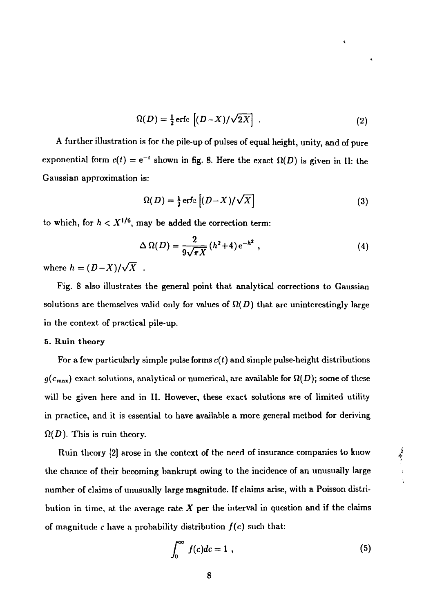$$
\Omega(D) = \frac{1}{2} \operatorname{erfc} \left[ (D - X) / \sqrt{2X} \right] \ . \tag{2}
$$

 $\overline{\mathbf{C}}$ 

A further illustration is for the pile-up of pulses of equal height, unity, and of pure exponential form  $c(t) = e^{-t}$  shown in fig. 8. Here the exact  $\Omega(D)$  is given in II: the Gaussian approximation is:

$$
\Omega(D) = \frac{1}{2} \operatorname{erfc} \left[ (D - X) / \sqrt{X} \right] \tag{3}
$$

to which, for  $h < X^{1/6}$ , may be added the correction term:

$$
\Delta \Omega(D) = \frac{2}{9\sqrt{\pi X}} \left( h^2 + 4 \right) e^{-h^2} \tag{4}
$$

where  $h = (D-X)/\sqrt{X}$ .

Fig. 8 also illustrates the general point that analytical corrections to Gaussian solutions are themselves valid only for values of  $\Omega(D)$  that are uninterestingly large in the context of practical pile-up.

#### 5. Ruin theory

For a few particularly simple pulse forms *c(t)* and simple pulse-height distributions  $g(c_{\text{max}})$  exact solutions, analytical or numerical, are available for  $\Omega(D)$ ; some of these will be given here and in II. However, these exact solutions are of limited utility in practice, and it is essential to have available a more general method for deriving  $\Omega(D)$ . This is ruin theory.

Ruin theory [2] arose in the context of the need of insurance companies to know the chance of their becoming bankrupt owing to the incidence of an unusually large number of claims of unusually large magnitude. If claims arise, with a Poisson distribution in time, at the average rate *X* per the interval in question and if the claims of magnitude c have a probability distribution  $f(c)$  such that:

$$
\int_0^\infty f(c)dc = 1 \tag{5}
$$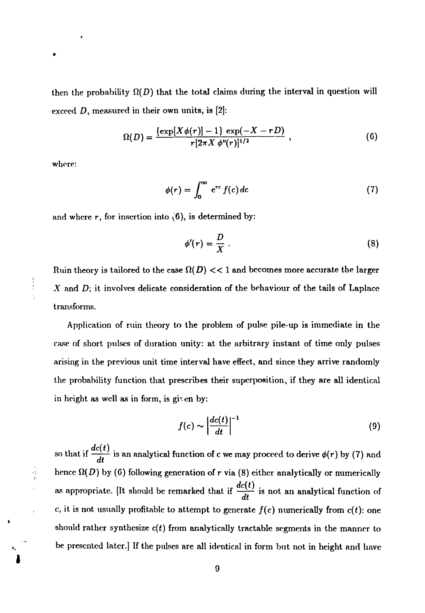then the probability  $\Omega(D)$  that the total claims during the interval in question will exceed *D,* measured in their own units, is [2]:

$$
\Omega(D) = \frac{\{\exp[X\phi(r)] - 1\} \exp(-X - rD)}{r[2\pi X \phi''(r)]^{1/2}} \,, \tag{6}
$$

where:

 $\frac{1}{2}$ 

$$
\phi(r) = \int_0^\infty e^{rc} f(c) \, dc \tag{7}
$$

and where  $r$ , for insertion into  $(6)$ , is determined by:

$$
\phi'(r) = \frac{D}{X} \ . \tag{8}
$$

Ruin theory is tailored to the case  $\Omega(D)$  << 1 and becomes more accurate the larger *X* and *D;* it involves delicate consideration of the behaviour of the tails of Laplace transforms.

Application of ruin theory to the problem of pulse pile-up is immediate in the case of short pulses of duration unity: at the arbitrary instant of time only pulses arising in the previous unit time interval have effect, and since they arrive randomly the probability function that prescribes their superposition, if they are all identical in height as well as in form, is given by:

$$
f(c) \sim \left| \frac{dc(t)}{dt} \right|^{-1} \tag{9}
$$

so that if  $\frac{dc(t)}{dt}$  is an analytical function of c we may proceed to derive  $\phi(r)$  by (7) and hence  $\Omega(D)$  by (6) following generation of r via (8) either analytically or numerically as appropriate. [It should be remarked that if  $\frac{dc(t)}{dt}$  is not an analytical function of *c*, it is not usually profitable to attempt to generate  $f(c)$  numerically from  $c(t)$ : one should rather synthesize  $c(t)$  from analytically tractable segments in the manner to be presented later. If the pulses are all identical in form but not in height and have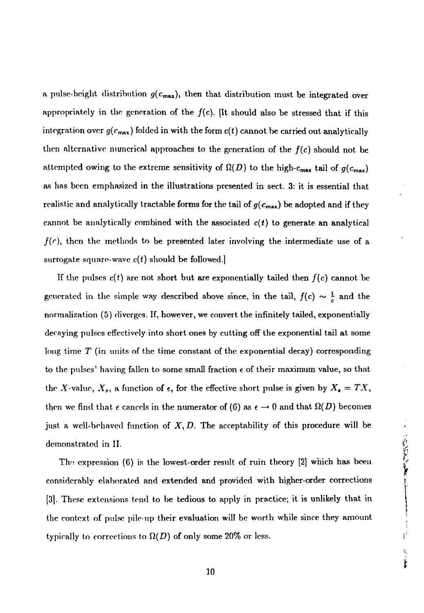a pulse-height distribution  $g(c_{\text{max}})$ , then that distribution must be integrated over appropriately in the generation of the  $f(c)$ . [It should also be stressed that if this integration over  $g(c_{\text{max}})$  folded in with the form  $c(t)$  cannot be carried out analytically then alternative numerical approaches to the generation of the  $f(c)$  should not be attempted owing to the extreme sensitivity of  $\Omega(D)$  to the high-c<sub>max</sub> tail of  $g(c_{\text{max}})$ as has been emphasized in the illustrations presented in sect. 3: it is essential that realistic and analytically tractable forms for the tail of  $g(c_{\text{max}})$  be adopted and if they cannot be analytically combined with the associated *c(t)* to generate an analytical  $f(c)$ , then the methods to be presented later involving the intermediate use of a surrogate square-wave *c(t)* should be followed.]

If the pulses  $c(t)$  are not short but are exponentially tailed then  $f(c)$  cannot be generated in the simple way described above since, in the tail,  $f(c) \sim \frac{1}{c}$  and the normalization (5) diverges. If, however, we convert the infinitely tailed, exponentially decaying pulses effectively into short ones by cutting off the exponential tail at some long time *T* (in units of the time constant of the exponential decay) corresponding to the pulses' having fallen to some small fraction *t* of their maximum value, so that the *X*-value, *X*,, a function of  $\epsilon$ , for the effective short pulse is given by  $X_{\epsilon} = TX$ , then we find that  $\epsilon$  cancels in the numerator of (6) as  $\epsilon \to 0$  and that  $\Omega(D)$  becomes just a well-bohaved function of *X, D.* The acceptability of this procedure will be demonstrated in II.

The expression (6) is the lowest-order result of ruin theory [2] which has been  $\int_Y^L$ considerably elaborated and extended and provided with higher-order corrections [3]. These extensions tend to be tedious to apply in practice; it is unlikely that in the context of pulse pile-up their evaluation will be worth while since they amount typically to corrections to  $\Omega(D)$  of only some 20% or less.

É Ą, t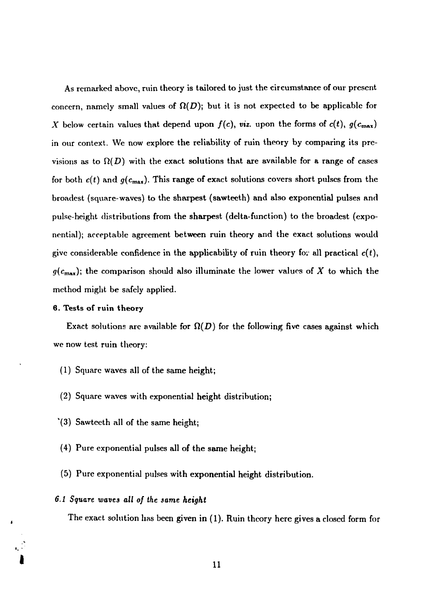As remarked above, ruin theory is tailored to just the circumstance of our present concern, namely small values of  $\Omega(D)$ ; but it is not expected to be applicable for *X* below certain values that depend upon  $f(c)$ , viz. upon the forms of  $c(t)$ ,  $g(c_{\text{max}})$ in our context. We now explore the reliability of ruin theory by comparing its previsions as to  $\Omega(D)$  with the exact solutions that are available for a range of cases for both  $c(t)$  and  $g(c_{\text{max}})$ . This range of exact solutions covers short pulses from the broadest (square-waves) to the sharpest (sawteeth) and also exponential pulses and pulse-height distributions from the sharpest (delta-function) to the broadest (exponential); acceptable agreement between ruin theory and the exact solutions would give considerable confidence in the applicability of ruin theory for all practical  $c(t)$ ,  $g(c<sub>max</sub>)$ ; the comparison should also illuminate the lower values of X to which the method might be safely applied.

#### 6. Tests of ruin theory

Exact solutions are available for  $\Omega(D)$  for the following five cases against which we now test ruin theory:

- (1) Square waves all of the same height;
- (2) Square waves with exponential height distribution;
- "(3) Sawteeth all of the same height;
- (4) Pure exponential pulses all of the same height;
- (5) Pure exponential pulses with exponential height distribution.

#### *6.1 Square waves all of the same height*

 $\mathcal{L}^{(1)}$ 

The exact solution has been given in (1). Ruin theory here gives a closed form for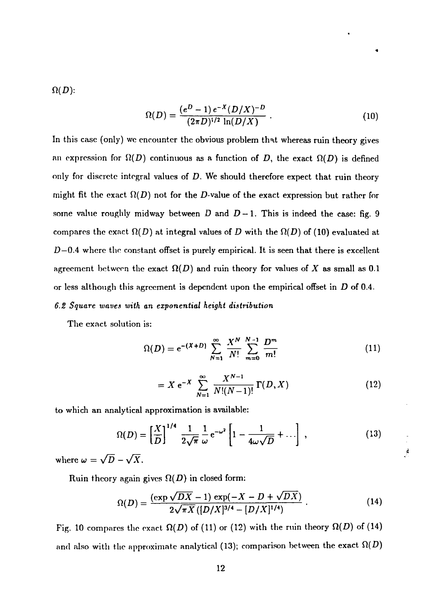$\Omega(D)$ :

$$
\Omega(D) = \frac{(e^D - 1) e^{-X} (D/X)^{-D}}{(2\pi D)^{1/2} \ln(D/X)}.
$$
\n(10)

In this case (only) we encounter the obvious problem that whereas ruin theory gives an expression for  $\Omega(D)$  continuous as a function of D, the exact  $\Omega(D)$  is defined only for discrete integral values of *D.* We should therefore expect that ruin theory might fit the exact  $\Omega(D)$  not for the D-value of the exact expression but rather for some value roughly midway between  $D$  and  $D-1$ . This is indeed the case: fig. 9 compares the exact  $\Omega(D)$  at integral values of D with the  $\Omega(D)$  of (10) evaluated at *D—*0.4 where the constant offset is purely empirical. It is seen that there is excellent agreement between the exact  $\Omega(D)$  and ruin theory for values of X as small as 0.1 or less although this agreement is dependent upon the empirical offset in *D* of 0.4.

## *6.2 Square waves with an exponential height distribution*

The exact solution is:

$$
\Omega(D) = e^{-(X+D)} \sum_{N=1}^{\infty} \frac{X^N}{N!} \sum_{m=0}^{N-1} \frac{D^m}{m!}
$$
 (11)

$$
= X e^{-X} \sum_{N=1}^{\infty} \frac{X^{N-1}}{N!(N-1)!} \Gamma(D, X)
$$
 (12)

to which an analytical approximation is available:

$$
\Omega(D) = \left[\frac{X}{D}\right]^{1/4} \frac{1}{2\sqrt{\pi}} \frac{1}{\omega} e^{-\omega^2} \left[1 - \frac{1}{4\omega\sqrt{D}} + \ldots\right],\tag{13}
$$

where  $\omega = \sqrt{D} - \sqrt{X}$ .

Ruin theory again gives  $\Omega(D)$  in closed form:

$$
\Omega(D) = \frac{(\exp \sqrt{DX} - 1) \exp(-X - D + \sqrt{DX})}{2\sqrt{\pi X} \left( [D/X]^{3/4} - [D/X]^{1/4} \right)} \,. \tag{14}
$$

Fig. 10 compares the exact  $\Omega(D)$  of (11) or (12) with the ruin theory  $\Omega(D)$  of (14) and also with the approximate analytical (13); comparison between the exact  $\Omega(D)$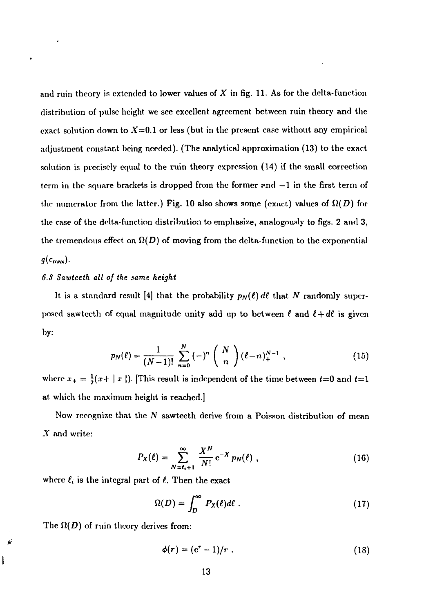and ruin theory is extended to lower values of *X* in fig. 11. As for the delta-function distribution of pulse height we see excellent agreement between ruin theory and the exact solution down to  $X=0.1$  or less (but in the present case without any empirical adjustment constant being needed). (The analytical approximation (13) to the exact solution is precisely equal to the ruin theory expression (14) if the small correction term in the square brackets is dropped from the former and  $-1$  in the first term of the numerator from the latter.) Fig. 10 also shows some (exact) values of  $\Omega(D)$  for the case of the delta-function distribution to emphasize, analogously to figs. 2 and 3, the tremendous effect on  $\Omega(D)$  of moving from the delta-function to the exponential  $g(c_{\text{max}}).$ 

# *6-3 Sawteeth all of the same height*

 $\bullet$ 

It is a standard result [4] that the probability  $p_N(\ell) d\ell$  that N randomly superposed sawteeth of equal magnitude unity add up to between *H* and *C + d(.* is given by:

$$
p_N(\ell) = \frac{1}{(N-1)!} \sum_{n=0}^{N} (-)^n \binom{N}{n} (\ell - n)_{+}^{N-1}, \qquad (15)
$$

where  $x_+ = \frac{1}{2}(x+ |x|)$ . [This result is independent of the time between  $t=0$  and  $t=1$ at which the maximum height is reached.]

Now recognize that the *N* sawteeth derive from a Poisson distribution of mean *X* and write:

$$
P_X(\ell) = \sum_{N=\ell_i+1}^{\infty} \frac{X^N}{N!} e^{-X} p_N(\ell) , \qquad (16)
$$

where  $\ell_i$  is the integral part of  $\ell$ . Then the exact

$$
\Omega(D) = \int_{D}^{\infty} P_X(\ell) d\ell \; . \tag{17}
$$

The  $\Omega(D)$  of ruin theory derives from:

 $\mathbf{I}$ 

$$
\phi(r) = (e^r - 1)/r \tag{18}
$$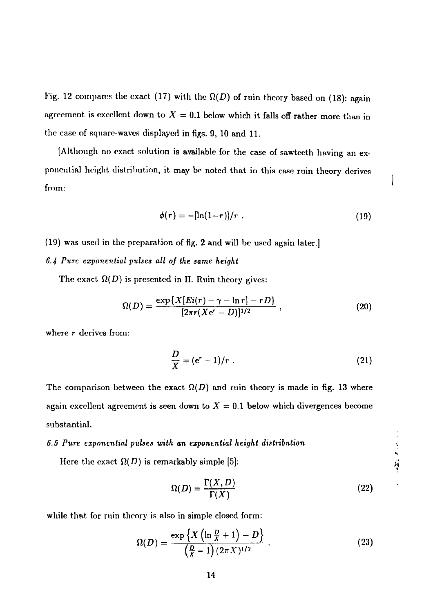Fig. 12 compares the exact (17) with the  $\Omega(D)$  of ruin theory based on (18): again agreement is excellent down to  $X = 0.1$  below which it falls off rather more than in the case of square-waves displayed in figs. 9, 10 and 11.

[Although no exact solution is available for the case of sawteeth having an exponential height distribution, it may bo noted that in this case ruin theory derives from:

$$
\phi(\mathbf{r}) = -[\ln(1-\mathbf{r})]/r \tag{19}
$$

1

医子宫

(19) was used in the preparation of fig. 2 and will be used again later.]

## *6.4 Pure exponential pulses all of the same height*

The exact  $\Omega(D)$  is presented in II. Ruin theory gives:

$$
\Omega(D) = \frac{\exp\{X[Ei(r) - \gamma - \ln r] - rD\}}{[2\pi r(Xe^r - D)]^{1/2}} \,, \tag{20}
$$

where r derives from:

$$
\frac{D}{X} = (\mathbf{e}^r - 1)/r \tag{21}
$$

The comparison between the exact  $\Omega(D)$  and ruin theory is made in fig. 13 where again excellent agreement is seen down to  $X = 0.1$  below which divergences become substantial.

## *6.5 Pure exponential pulses with an expontntial height distribution*

Here the exact  $\Omega(D)$  is remarkably simple [5]:

$$
\Omega(D) = \frac{\Gamma(X, D)}{\Gamma(X)}\tag{22}
$$

while that for ruin theory is also in simple closed form:

$$
\Omega(D) = \frac{\exp\left\{X\left(\ln\frac{D}{X} + 1\right) - D\right\}}{\left(\frac{D}{X} - 1\right)(2\pi X)^{1/2}}.
$$
\n(23)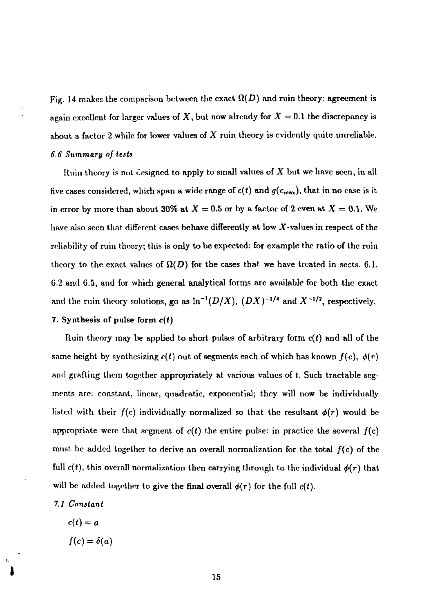Fig. 14 makes the comparison between the exact  $\Omega(D)$  and ruin theory: agreement is again excellent for larger values of *X,* but now already for *X =* 0.1 the discrepancy is about a factor 2 while for lower values of *X* ruin theory is evidently quite unreliable. *6.6 Summary of tests*

Ruin theory is not designed to apply to small values of X but we have seen, in all five cases considered, which span a wide range of  $c(t)$  and  $g(c_{\text{max}})$ , that in no case is it in error by more than about 30% at  $X = 0.5$  or by a factor of 2 even at  $X = 0.1$ . We have also seen that different cases behave differently at low  $X$ -values in respect of the reliability of ruin theory; this is only to be expected: for example the ratio of the ruin theory to the exact values of  $\Omega(D)$  for the cases that we have treated in sects. 6.1, 6.2 and 6.5, and for which general analytical forms are available for both the exact and the ruin theory solutions, go as  $\ln^{-1}(D/X)$ ,  $(DX)^{-1/4}$  and  $X^{-1/2}$ , respectively. 7. Synthesis of pulse form *c(t)*

Ruin theory may be applied to short pulses of arbitrary form *c(t)* and all of the same height by synthesizing  $c(t)$  out of segments each of which has known  $f(c), \ \phi(r)$ and grafting them together appropriately at various values of *t.* Such tractable segments are: constant, linear, quadratic, exponential; they will now be individually listed with their  $f(c)$  individually normalized so that the resultant  $\phi(r)$  would be appropriate were that segment of  $c(t)$  the entire pulse: in practice the several  $f(c)$ must be added together to derive an overall normalization for the total  $f(c)$  of the full  $c(t)$ , this overall normalization then carrying through to the individual  $\phi(r)$  that will be added together to give the final overall  $\phi(r)$  for the full  $c(t)$ .

#### *7.1 Constant*

 $c(t) = a$ 

$$
f(c)=\delta(a)
$$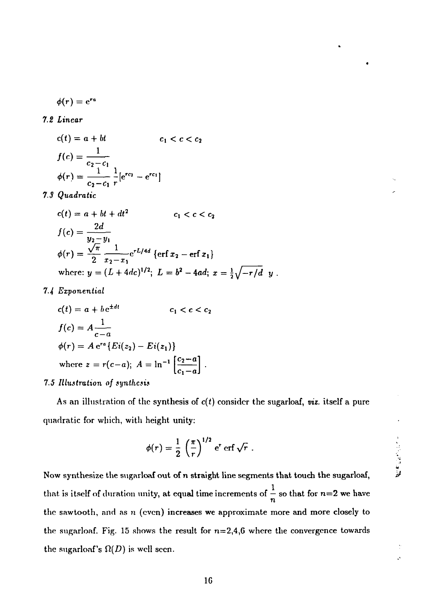$$
\phi(r) = e^{ra}
$$

*7.2 Linear*

$$
c(t) = a + bt \t\t c_1 < c < c_2
$$
  

$$
f(c) = \frac{1}{c_2 - c_1}
$$
  

$$
\phi(r) = \frac{1}{c_2 - c_1} \frac{1}{r} [e^{rc_2} - e^{rc_1}]
$$

# 7.5 *Quadratic*

$$
c(t) = a + bt + dt2 \qquad c_1 < c < c_2
$$
  
\n
$$
f(c) = \frac{2d}{y_2 - y_1}
$$
  
\n
$$
\phi(r) = \frac{\sqrt{\pi}}{2} \frac{1}{x_2 - x_1} e^{rL/4d} \{ \text{erf } x_2 - \text{erf } x_1 \}
$$
  
\nwhere:  $y = (L + 4dc)^{1/2}$ ;  $L = b^2 - 4ad$ ;  $x = \frac{1}{2} \sqrt{-r/d} y$ .

## *7.4 Exponential*

$$
c(t) = a + b e^{\pm dt}
$$
  
\n
$$
f(c) = A \frac{1}{c - a}
$$
  
\n
$$
\phi(r) = A e^{ra} \{ Ei(z_2) - Ei(z_1) \}
$$
  
\nwhere  $z = r(c-a)$ ;  $A = \ln^{-1} \left[ \frac{c_2 - a}{c_1 - a} \right]$ .

# 7.5 *Illustration of synthesis*

As an illustration of the synthesis of *c(t)* consider the sugarloaf, *viz.* itself a pure quadratic for which, with height unity:

J.

$$
\phi(r) = \frac{1}{2} \left(\frac{\pi}{r}\right)^{1/2} e^r \operatorname{erf} \sqrt{r}.
$$

Now synthesize the sugarloaf out of n straight line segments that touch the sugarloaf, that is itself of duration unity, at equal time increments of  $\dot{-}$  so that for  $n{=}2$  we have *n* the sawtooth, and as *n* (even) increases we approximate more and more closely to the sugarloaf. Fig. 15 shows the result for  $n=2,4,6$  where the convergence towards the sugarloaf  $\mathcal{L}_1$  shows the result for next for next for next for next for  $\mathcal{L}_2$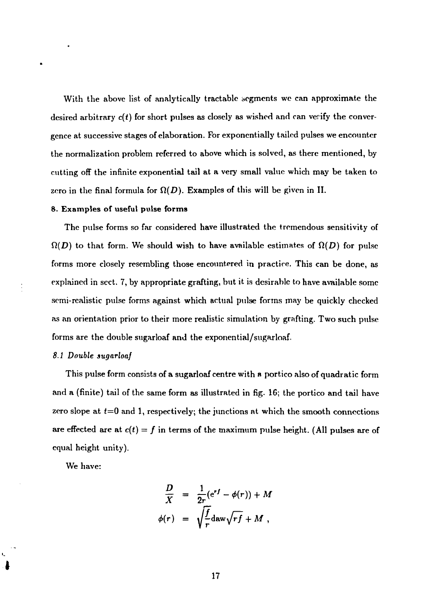With the above list of analytically tractable segments we can approximate the desired arbitrary *c(t)* for short pulses as closely as wished and can verify the convergence at successive stages of elaboration. For exponentially tailed pulses we encounter the normalization problem referred to above which is solved, as there mentioned, by cutting off the infinite exponential tail at a very small value which may be taken to zero in the final formula for  $\Omega(D)$ . Examples of this will be given in II.

#### **8.** Examples **of** useful **pulse forms**

The pulse forms so far considered have illustrated the tremendous sensitivity of  $\Omega(D)$  to that form. We should wish to have available estimates of  $\Omega(D)$  for pulse forms more closely resembling those encountered in practice. This can be done, as explained in sect. 7, by appropriate grafting, but it is desirable to have available some semi-realistic pulse forms against which actual pulse forms may be quickly checked as an orientation prior to their more realistic simulation by grafting. Two such pulse forms are the double sugarloaf and the exponential/sugarloaf.

#### *8.1 Double sugarloaf*

This pulse form consists of a sugarloaf centre with a portico also of quadratic form and a (finite) tail of the same form as illustrated in fig. 16; the portico and tail have zero slope at  $t=0$  and 1, respectively; the junctions at which the smooth connections are effected are at  $c(t) = f$  in terms of the maximum pulse height. (All pulses are of equal height unity).

We have:

$$
\frac{D}{X} = \frac{1}{2r}(e^{rf} - \phi(r)) + M
$$
  

$$
\phi(r) = \sqrt{\frac{f}{r}} \text{daw} \sqrt{rf} + M ,
$$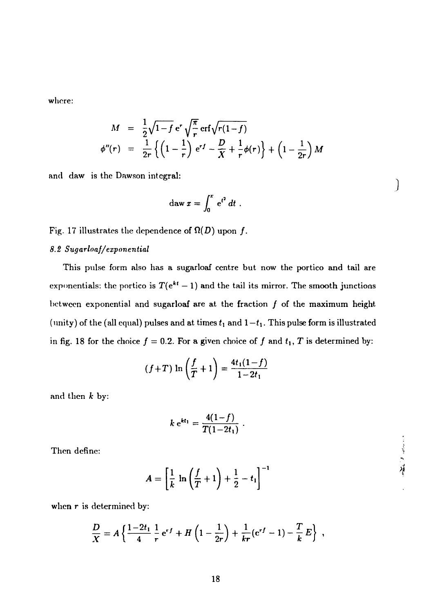where:

$$
M = \frac{1}{2} \sqrt{1 - f} e^{r} \sqrt{\frac{\pi}{r}} erf(\sqrt{r(1 - f)})
$$
  

$$
\phi''(r) = \frac{1}{2r} \left\{ \left(1 - \frac{1}{r}\right) e^{r} - \frac{D}{X} + \frac{1}{r} \phi(r) \right\} + \left(1 - \frac{1}{2r}\right) M
$$

and daw is the Dawson integral:

$$
\mathrm{daw}\;x=\int_0^x\;e^{t^2}\,dt\;.
$$

Fig. 17 illustrates the dependence of  $\Omega(D)$  upon f.

# *8.2 Sugarloaf/exponential*

This pulse form also has a sugarloaf centre but now the portico and tail are exponentials: the portico is  $T(e^{kt}-1)$  and the tail its mirror. The smooth junctions between exponential and sugarloaf are at the fraction  $f$  of the maximum height (unity) of the (all equal) pulses and at times  $t_1$  and  $1-t_1$ . This pulse form is illustrated in fig. 18 for the choice  $f = 0.2$ . For a given choice of f and  $t_1$ , T is determined by:

$$
(f+T)\ln\left(\frac{f}{T}+1\right) = \frac{4t_1(1-f)}{1-2t_1}
$$

and then *k* by:

$$
k e^{kt_1} = \frac{4(1-f)}{T(1-2t_1)}.
$$

Then define:

$$
A = \left[\frac{1}{k} \ln \left(\frac{f}{T} + 1\right) + \frac{1}{2} - t_1\right]^{-1}
$$

こくさい しょう

when  $r$  is determined by:

$$
\frac{D}{X} = A \left\{ \frac{1-2t_1}{4} \frac{1}{r} e^{r} + H \left( 1 - \frac{1}{2r} \right) + \frac{1}{kr} (e^{r} - 1) - \frac{T}{k} E \right\} ,
$$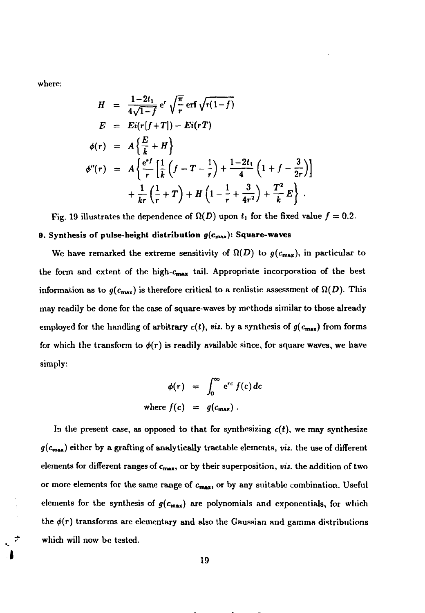where:

$$
H = \frac{1-2t_1}{4\sqrt{1-f}} e^r \sqrt{\frac{\pi}{r}} erf \sqrt{r(1-f)}
$$
  
\n
$$
E = Ei(r[f+T]) - Ei(rT)
$$
  
\n
$$
\phi(r) = A\left\{\frac{E}{k} + H\right\}
$$
  
\n
$$
\phi''(r) = A\left\{\frac{e^{rf}}{r}\left[\frac{1}{k}\left(f - T - \frac{1}{r}\right) + \frac{1-2t_1}{4}\left(1+f - \frac{3}{2r}\right)\right] + \frac{1}{kr}\left(\frac{1}{r} + T\right) + H\left(1 - \frac{1}{r} + \frac{3}{4r^2}\right) + \frac{T^2}{k}E\right\}.
$$

Fig. 19 illustrates the dependence of  $\Omega(D)$  upon  $t_1$  for the fixed value  $f = 0.2$ . 9. Synthesis of pulse-height distribution  $g(c_{\text{max}})$ : Square-waves

We have remarked the extreme sensitivity of  $\Omega(D)$  to  $g(c_{\text{max}})$ , in particular to the form and extent of the high- $c_{\text{max}}$  tail. Appropriate incorporation of the best information as to  $g(c_{\text{max}})$  is therefore critical to a realistic assessment of  $\Omega(D)$ . This may readily be done for the case of square-waves by methods similar to those already employed for the handling of arbitrary  $c(t)$ , viz. by a synthesis of  $g(c_{\text{max}})$  from forms for which the transform to  $\phi(r)$  is readily available since, for square waves, we have simply:

$$
\phi(r) = \int_0^\infty e^{rc} f(c) dc
$$
  
where  $f(c) = g(c_{max})$ .

*In* the present case, as opposed to that for synthesizing *c(t),* we may synthesize  $g(c<sub>max</sub>)$  either by a grafting of analytically tractable elements, *viz*. the use of different elements for different ranges of  $c_{\textbf{max}},$  or by their superposition,  $\emph{viz.}$  the addition of two or more elements for the same range of  $c_{\text{max}}$ , or by any suitable combination. Useful elements for the synthesis of *gfemax)* are polynomials and exponentials, for which the  $\phi(r)$  transforms are elementary and also the Gaussian and gamma distributions which will now be tested.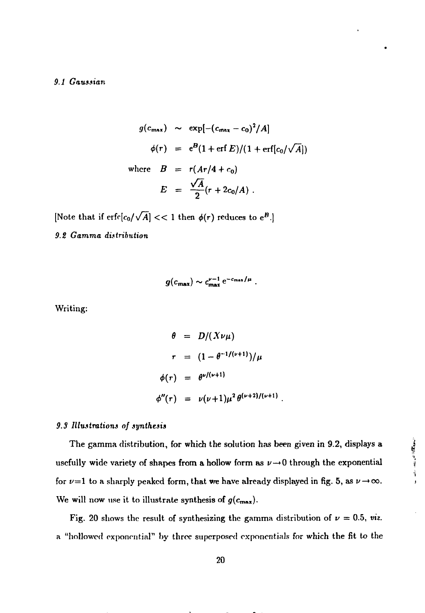## *9.1 Gaussian*

$$
g(c_{\max}) \sim \exp[-(c_{\max} - c_0)^2/A]
$$
  
\n
$$
\phi(r) = e^B(1 + \text{erf } E)/(1 + \text{erf}[c_0/\sqrt{A}])
$$
  
\nwhere 
$$
B = r(Ar/4 + c_0)
$$
  
\n
$$
E = \frac{\sqrt{A}}{2}(r + 2c_0/A).
$$

[Note that if  $\text{erfc}[c_0/\sqrt{A}] << 1$  then  $\phi(r)$  reduces to  $e^B$ .] *9.2 Gamma distribution*

$$
g(c_{\max}) \sim c_{\max}^{\nu-1} e^{-c_{\max}/\mu}
$$

Writing:

$$
\theta = D/(X \nu \mu)
$$
  
\n
$$
r = (1 - \theta^{-1/(\nu+1)})/\mu
$$
  
\n
$$
\phi(r) = \theta^{\nu/(\nu+1)}
$$
  
\n
$$
\phi''(r) = \nu(\nu+1)\mu^2 \theta^{(\nu+2)/(\nu+1)}
$$

# P. 5 *Illustrations of synthesis*

The gamma distribution, for which the solution has been given in 9.2, displays a *i* usefully wide variety of shapes from a hollow form as  $\nu \rightarrow 0$  through the exponential for  $\nu=1$  to a sharply peaked form, that we have already displayed in fig. 5, as  $\nu\rightarrow\infty$ . We will now use it to illustrate synthesis of  $g(c_{\text{max}})$ .

ing the control of the control of the control of the control of the control of the control of the control of the control of the control of the control of the control of the control of the control of the control of the cont

Fig. 20 shows the result of synthesizing the gamma distribution of  $\nu = 0.5$ , viz. a "hollowed exponential" by three superposed exponentials for which the fit to the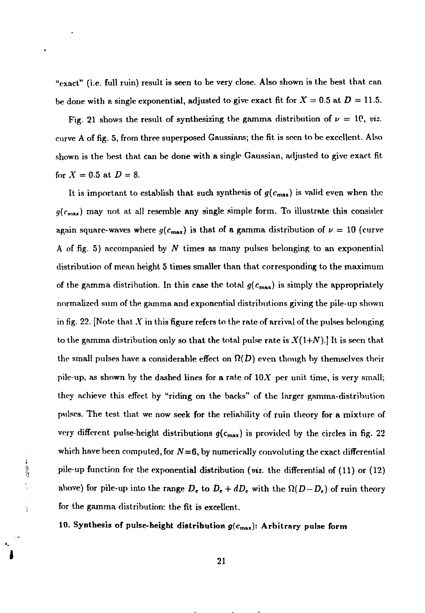"exact" (i.e. full ruin) result is seen to be very close. Also shown is the best that can be done with a single exponential, adjusted to give exact fit for  $X = 0.5$  at  $D = 11.5$ .

Fig. 21 shows the result of synthesizing the gamma distribution of  $\nu = 10$ , *viz.* curve A of fig. 5, from three superposed Gaussians; the fit is seen to be excellent. Also shown is the best that can be done with a single Gaussian, adjusted to give exact fit for  $X = 0.5$  at  $D = 8$ .

It is important to establish that such synthesis of  $g(c_{\text{max}})$  is valid even when the *g(cmnx)* may not at all resemble any single simple form. To illustrate this consider again square-waves where  $g(c_{\text{max}})$  is that of a gamma distribution of  $\nu = 10$  (curve A of fig. 5) accompanied by *N* times as many pulses belonging to an exponential distribution of mean height 5 times smaller than that corresponding to the maximum of the gamma distribution. In this case the total *g{cmnx)* is simply the appropriately normalized sum of the gamma and exponential distributions giving the pile-up shown in fig. 22. [Note that *X* in this figure refers to the rate of arrival of the pulses belonging to the gamma distribution only so that the total pulse rate is  $X(1+N)$ .] It is seen that the small pulses have a considerable effect on  $\Omega(D)$  even though by themselves their pile-up, as shown by the dashed lines for a rate of  $10\bar{X}$  per unit time, is very small; they achieve this effect by "riding on the backs" of the larger gamma-distribution pulses. The test that we now seek for the reliability of ruin theory for a mixture of very different pulse-height distributions  $g(c_{\text{max}})$  is provided by the circles in fig. 22 which have been computed, for *N=6,* by numerically convoluting the exact differential pile-up function for the exponential distribution (viz. the differential of (11) or (12) above) for pile-up into the range  $D_e$  to  $D_e + dD_e$  with the  $\Omega(D-D_e)$  of ruin theory  $\mathbf{F}$  for the gamma distribution: the fit is excellent.

10. Synthesis of pulse-height distribution  $g(c_{\text{max}})$ : Arbitrary pulse form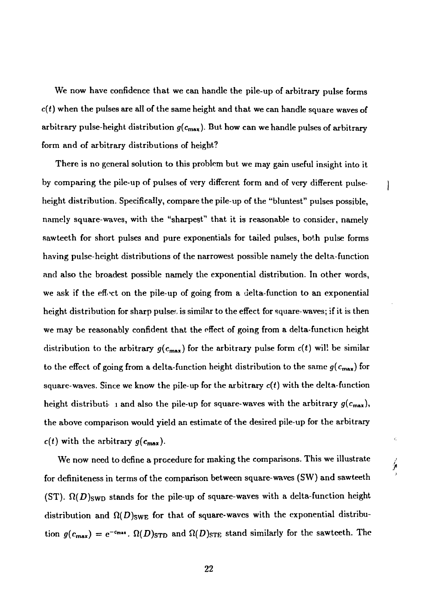We now have confidence that we can handle the pile-up of arbitrary pulse forms *c(t)* when the pulses are all of the same height and that we can handle square waves of arbitrary pulse-height distribution  $g(c_{\text{max}})$ . But how can we handle pulses of arbitrary form and of arbitrary distributions of height?

J

É,

ý

There is no general solution to this problem but we may gain useful insight into it by comparing the pile-up of pulses of very different form and of very different pulseheight distribution. Specifically, compare the pile-up of the "bluntest" pulses possible, namely square-waves, with the "sharpest" that it is reasonable to consider, namely sawteeth for short pulses and pure exponentials for tailed pulses, both pulse forms having pulse-height distributions of the narrowest possible namely the delta-function and also the broadest possible namely the exponential distribution. In other words, we ask if the effect on the pile-up of going from a delta-function to an exponential height distribution for sharp pulser, is similar to the effect for square-waves; if it is then we may be reasonably confident that the effect of going from a delta-function height distribution to the arbitrary  $g(c_{\text{max}})$  for the arbitrary pulse form  $c(t)$  will be similar to the effect of going from a delta-function height distribution to the same  $g(c_{\text{max}})$  for square-waves. Since we know the pile-up for the arbitrary *c(t)* with the delta-function height distributi 1 and also the pile-up for square-waves with the arbitrary  $g(c_{\text{max}})$ , the above comparison would yield an estimate of the desired pile-up for the arbitrary  $c(t)$  with the arbitrary  $g(c_{\text{max}})$ .

We now need to define a procedure for making the comparisons. This we illustrate for definiteness in terms of the comparison between square-waves (SW) and sawteeth (ST).  $\Omega(D)$ swp stands for the pile-up of square-waves with a delta-function height distribution and  $\Omega(D)_{\text{SWE}}$  for that of square-waves with the exponential distribution  $g(c_{\text{max}}) = e^{-c_{\text{max}}}$ .  $\Omega(D)_{\text{STD}}$  and  $\Omega(D)_{\text{STE}}$  stand similarly for the sawteeth. The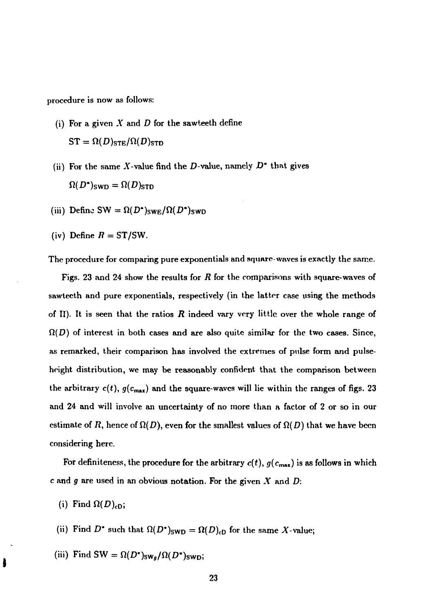procedure is now as follows:

- (i) For a given *X* and *D* for the sawteeth define  $ST = \Omega(D)_{\text{STE}} / \Omega(D)_{\text{STD}}$
- (ii) For the same X-value find the D-value, namely *D\** that gives  $\Omega(D^*)_{\text{SWD}} = \Omega(D)_{\text{STD}}$
- (iii) Define SW =  $\Omega(D^*)_{\text{SWE}}/\Omega(D^*)_{\text{SWD}}$
- (iv) Define  $R = ST/SW$ .

The procedure for comparing pure exponentials and square-waves is exactly the same.

Figs. 23 and 24 show the results for *R* for the comparisons with square-waves of sawteeth and pure exponentials, respectively (in the latter case using the methods of II). It is seen that the ratios  $R$  indeed vary very little over the whole range of  $\Omega(D)$  of interest in both cases and are also quite similar for the two cases. Since, as remarked, their comparison has involved the extremes of pulse form and pulseheight distribution, we may be reasonably confident that the comparison between the arbitrary  $c(t)$ ,  $g(c_{\text{max}})$  and the square-waves will lie within the ranges of figs. 23 and 24 and will involve an uncertainty of no more than a factor of 2 or so in our estimate of R, hence of  $\Omega(D)$ , even for the smallest values of  $\Omega(D)$  that we have been considering here.

For definiteness, the procedure for the arbitrary  $c(t)$ ,  $g(c_{\text{max}})$  is as follows in which c and *g* are used in an obvious notation. For the given *X* and *D:*

- (i) Find  $\Omega(D)_{c}$ ;
- (ii) Find D<sup>\*</sup> such that  $\Omega(D^*)_{\text{SWD}} = \Omega(D)_{cD}$  for the same X-value;
- (iii) Find SW =  $\Omega(D^*)_{\text{SW}_g}/\Omega(D^*)_{\text{SW}_D};$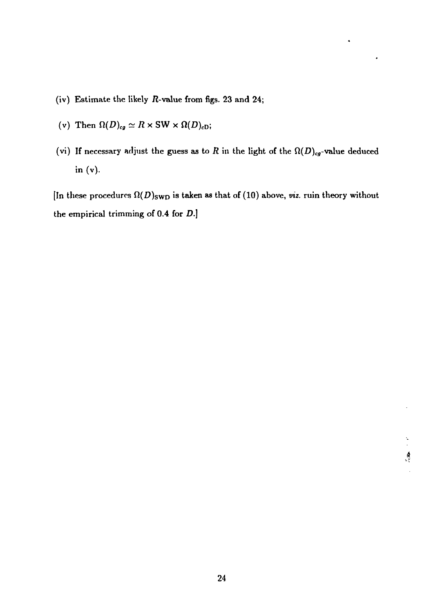- (iv) Estimate the likely  $R$ -value from figs. 23 and 24;
- (v) Then  $\Omega(D)_{cg} \simeq R \times \text{SW} \times \Omega(D)_{cD}$ ;
- (vi) If necessary adjust the guess as to R in the light of the  $\Omega(D)_{cg}$ -value deduced in (v).

٠

化膜 计

[In these procedures  $\Omega(D)_{\text{SWD}}$  is taken as that of (10) above, viz. ruin theory without the empirical trimming of 0.4 for *D.\*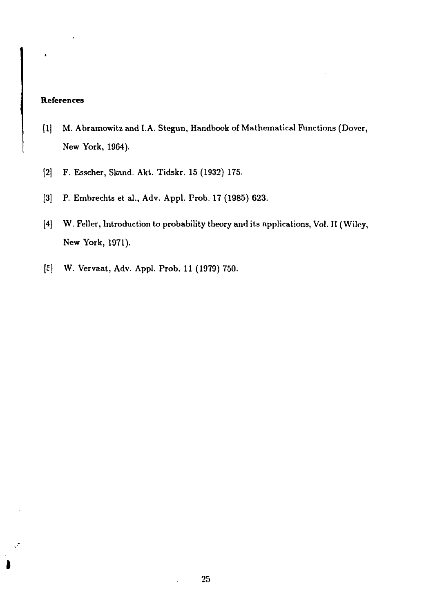## References

 $\cdot$ 

- [1] M. Abramowitz and I.A. Stegun, Handbook of Mathematical Functions (Dover, New York, 1964).
- [2) F. Esscher, Skand. Akt. Tidskr. 15 (1932) 175.
- [3] P. Embrechts et al., Adv. Appl. Prob. 17 (1985) 623.
- [4} W. Feller, Introduction to probability theory and its applications, Vol. II (Wiley, New York, 1971).
- [£] W. Vervaat, Adv. Appl. Prob. 11 (1979) 750.

l,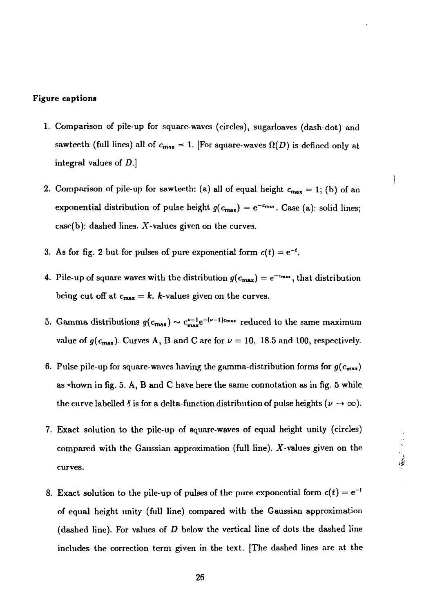## **Figure captions**

- 1. Comparison of pile-up for square-waves (circles), sugarloaves (dash-dot) and sawteeth (full lines) all of  $c_{\text{max}} = 1$ . [For square-waves  $\Omega(D)$  is defined only at integral values of *D.]*
- 2. Comparison of pile-up for sawteeth: (a) all of equal height  $c_{\text{max}} = 1$ ; (b) of an exponential distribution of pulse height  $g(c_{\text{max}}) = e^{-c_{\text{max}}}$ . Case (a): solid lines; case(b): dashed lines.  $X$ -values given on the curves.

ì

- 3. As for fig. 2 but for pulses of pure exponential form  $c(t) = e^{-t}$ .
- 4. Pile-up of square waves with the distribution  $g(c_{\text{max}}) = e^{-c_{\text{max}}}$ , that distribution being cut off at  $c_{\text{max}} = k$ . k-values given on the curves.
- 5. Gamma distributions  $g(c_{\text{max}}) \sim c_{\text{max}}^{\nu-1} e^{-(\nu-1)c_{\text{max}}}$  reduced to the same maximum value of  $g(c_{\text{max}})$ . Curves A, B and C are for  $\nu = 10$ , 18.5 and 100, respectively.
- 6. Pulse pile-up for square-waves having the gamma-distribution forms for  $g(c_{\text{max}})$ as shown in fig. 5. A, B and C have here the same connotation as in fig. 5 while the curve labelled *5* is for a delta-function distribution of pulse heights  $(\nu \to \infty)$ .
- 7. Exact solution to the pile-up of square-waves of equal height unity (circles) compared with the Gaussian approximation (full line).  $X$ -values given on the curves.
- 8. Exact solution to the pile-up of pulses of the pure exponential form  $c(t) = e^{-t}$ of equal height unity (full line) compared with the Gaussian approximation (dashed line). For values of *D* below the vertical line of dots the dashed line includes the correction term given in the text. [The dashed lines are at the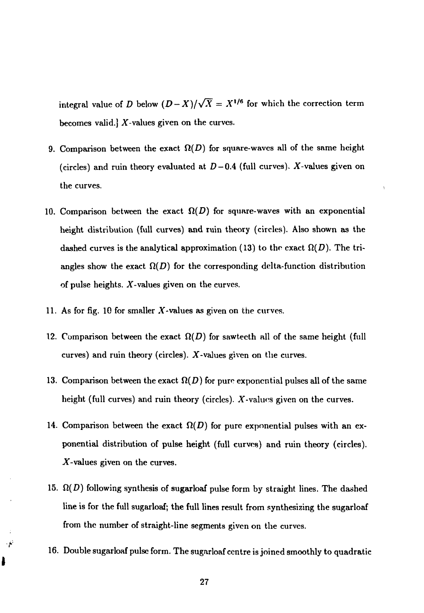integral value of  $D$  below  $(D-X)/\sqrt{X} = X^{1/6}$  for which the correction term becomes valid.]  $X$ -values given on the curves.

- 9. Comparison between the exact  $\Omega(D)$  for square-waves all of the same height (circles) and ruin theory evaluated at  $D-0.4$  (full curves). X-values given on the curves.
- 10. Comparison between the exact  $\Omega(D)$  for square-waves with an exponential height distribution (full curves) and ruin theory (circles). Also shown as the dashed curves is the analytical approximation (13) to the exact  $\Omega(D)$ . The triangles show the exact  $\Omega(D)$  for the corresponding delta-function distribution of pulse heights. *X*-values given on the curves.
- 11. As for fig. 10 for smaller  $X$ -values as given on the curves.
- 12. Comparison between the exact  $\Omega(D)$  for sawteeth all of the same height (full curves) and ruin theory (circles).  $X$ -values given on the curves.
- 13. Comparison between the exact  $\Omega(D)$  for pure exponential pulses all of the same height (full curves) and ruin theory (circles).  $X$ -values given on the curves.
- 14. Comparison between the exact  $\Omega(D)$  for pure exponential pulses with an exponential distribution of pulse height (full curves) and ruin theory (circles).  $X$ -values given on the curves.
- 15.  $\Omega(D)$  following synthesis of sugarloaf pulse form by straight lines. The dashed line is for the full sugarloaf; the full lines result from synthesizing the sugarloaf from the number of straight-line segments given on the curves.
- 16. Double sugarloaf pulse form. The sugarloaf centre is joined smoothly to quadratic

خ: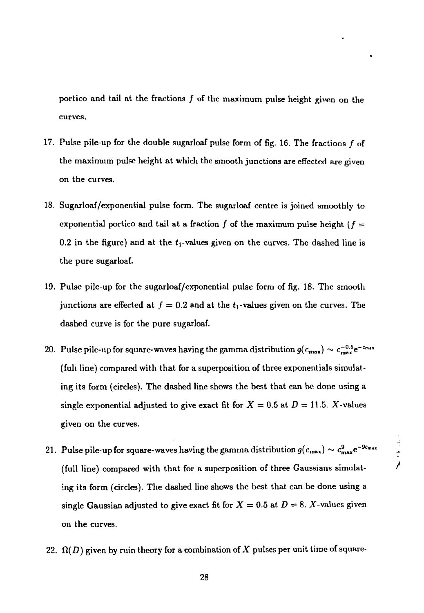portico and tail at the fractions  $f$  of the maximum pulse height given on the curves.

- 17. Pulse pile-up for the double sugarloaf pulse form of fig. 16. The fractions  $f$  of the maximum pulse height at which the smooth junctions are effected are given on the curves.
- 18. Sugarloaf/exponential pulse form. The sugarloaf centre is joined smoothly to exponential portico and tail at a fraction f of the maximum pulse height ( $f =$ 0.2 in the figure) and at the  $t_1$ -values given on the curves. The dashed line is the pure sugarloaf.
- 19. Pulse pile-up for the sugarloaf/exponential pulse form of fig. 18. The smooth junctions are effected at  $f = 0.2$  and at the  $t_1$ -values given on the curves. The dashed curve is for the pure sugarloaf.
- 20. Pulse pile-up for square-waves having the gamma distribution  $g(c_{\text{max}}) \sim c_{\text{max}}^{-0.5}e^{-c_{\text{max}}}$ (fuli line) compared with that for a superposition of three exponentials simulating its form (circles). The dashed line shows the best that can be done using a single exponential adjusted to give exact fit for  $X = 0.5$  at  $D = 11.5$ . X-values given on the curves.
- 21. Pulse pile-up for square-waves having the gamma distribution  $g(c_{\text{max}}) \sim c_{\text{max}}^9 e^{-9c_{\text{max}}}$ (full line) compared with that for a superposition of three Gaussians simulating its form (circles). The dashed line shows the best that can be done using a single Gaussian adjusted to give exact fit for  $X = 0.5$  at  $D = 8$ . X-values given on the curves.

 $\frac{1}{2}$ 

22.  $\Omega(D)$  given by ruin theory for a combination of X pulses per unit time of square-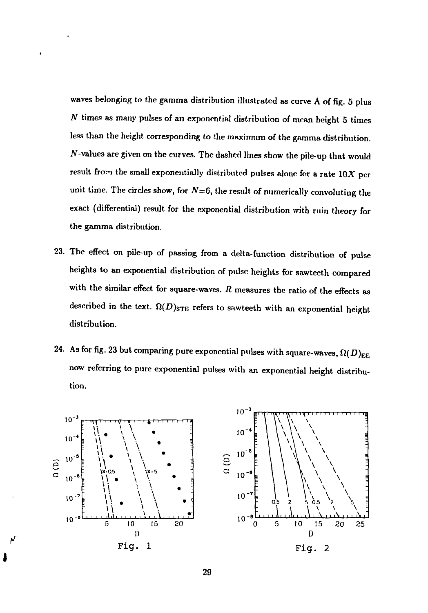waves belonging to the gamma distribution illustrated as curve A of fig. 5 plus *N* times as many pulses of an exponential distribution of mean height 5 times less than the height corresponding to the maximum of the gamma distribution. JV-values are given on the curves. The dashed lines show the pile-up that would result from the small exponentially distributed pulses alone for a rate 10X per unit time. The circles show, for  $N=6$ , the result of numerically convoluting the exact (differential) result for the exponential distribution with ruin theory for the gamma distribution.

- 23. The effect on pile-up of passing from a delta-function distribution of pulse heights to an exponential distribution of pulse heights for sawteeth compared with the similar effect for square-waves. *R* measures the ratio of the effects as described in the text.  $\Omega(D)_{\text{STE}}$  refers to sawteeth with an exponential height distribution.
- 24. As for fig. 23 but comparing pure exponential pulses with square-waves,  $\Omega(D)_{\rm EE}$ now referring to pure exponential pulses with an exponential height distribution.



29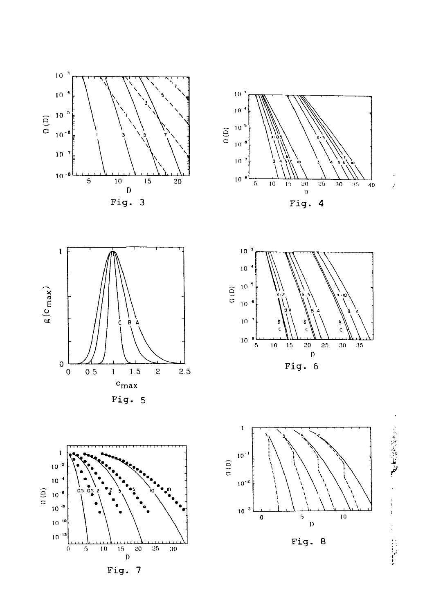









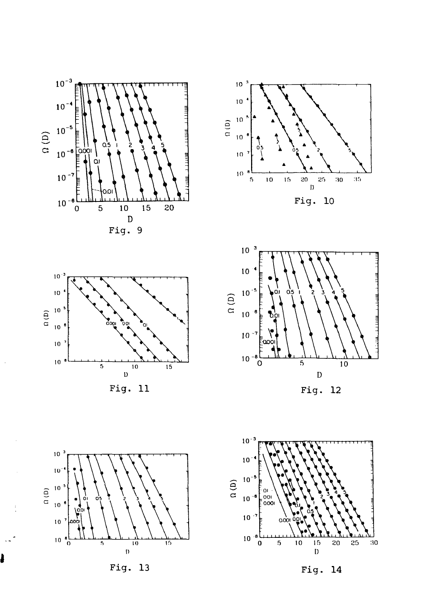

**0 5 10 15 20 25 HO**

 $10^{-7}$ 

Fig. 13 Fig. 14

 $\frac{1}{10}$ 

 $\bar{\mathbf{D}}$ 

 $\overline{15}$ 

 $\overline{5}$ 

 $10$ 

 $\overline{10}$ "ດ<br>ດ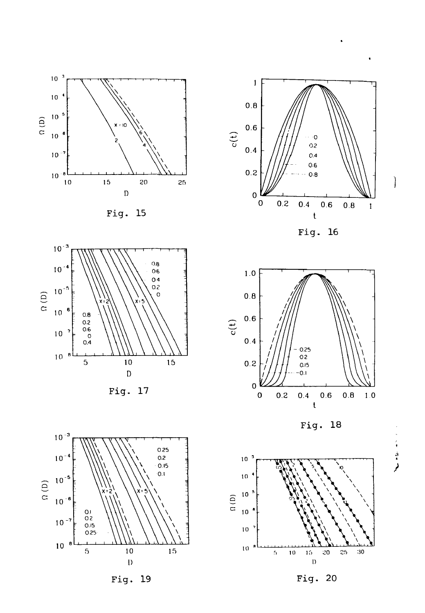

Fig. 15







Fig. 16

 $\hspace{0.05cm}\displaystyle\left.\rule{0cm}{0.15cm}\right]$ 



Fig. 18